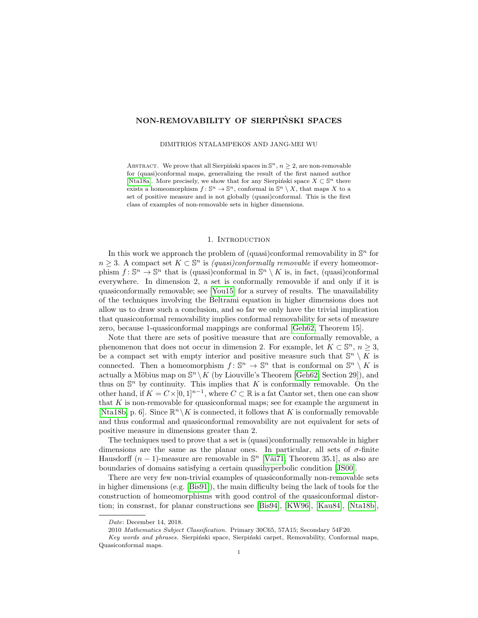# NON-REMOVABILITY OF SIERPIŃSKI SPACES

#### DIMITRIOS NTALAMPEKOS AND JANG-MEI WU

ABSTRACT. We prove that all Sierpinski spaces in  $\mathbb{S}^n$ ,  $n \geq 2$ , are non-removable for (quasi)conformal maps, generalizing the result of the first named author [\[Nta18a\]](#page-8-0). More precisely, we show that for any Sierpiński space  $X \subset \mathbb{S}^n$  there exists a homeomorphism  $f: \mathbb{S}^n \to \mathbb{S}^n$ , conformal in  $\mathbb{S}^n \setminus X$ , that maps X to a set of positive measure and is not globally (quasi)conformal. This is the first class of examples of non-removable sets in higher dimensions.

### 1. INTRODUCTION

In this work we approach the problem of (quasi)conformal removability in  $\mathbb{S}^n$  for  $n \geq 3$ . A compact set  $K \subset \mathbb{S}^n$  is *(quasi)conformally removable* if every homeomorphism  $f: \mathbb{S}^n \to \mathbb{S}^n$  that is (quasi)conformal in  $\mathbb{S}^n \setminus K$  is, in fact, (quasi)conformal everywhere. In dimension 2, a set is conformally removable if and only if it is quasiconformally removable; see [\[You15\]](#page-8-1) for a survey of results. The unavailability of the techniques involving the Beltrami equation in higher dimensions does not allow us to draw such a conclusion, and so far we only have the trivial implication that quasiconformal removability implies conformal removability for sets of measure zero, because 1-quasiconformal mappings are conformal [\[Geh62,](#page-8-2) Theorem 15].

Note that there are sets of positive measure that are conformally removable, a phenomenon that does not occur in dimension 2. For example, let  $K \subset \mathbb{S}^n$ ,  $n \geq 3$ , be a compact set with empty interior and positive measure such that  $\mathbb{S}^n \setminus K$  is connected. Then a homeomorphism  $f: \mathbb{S}^n \to \mathbb{S}^n$  that is conformal on  $\mathbb{S}^n \setminus K$  is actually a Möbius map on  $\mathbb{S}^n \setminus K$  (by Liouville's Theorem [\[Geh62,](#page-8-2) Section 29]), and thus on  $\mathbb{S}^n$  by continuity. This implies that K is conformally removable. On the other hand, if  $K = C \times [0, 1]^{n-1}$ , where  $C \subset \mathbb{R}$  is a fat Cantor set, then one can show that  $K$  is non-removable for quasiconformal maps; see for example the argument in [\[Nta18b,](#page-8-3) p. 6]. Since  $\mathbb{R}^n \backslash K$  is connected, it follows that K is conformally removable and thus conformal and quasiconformal removability are not equivalent for sets of positive measure in dimensions greater than 2.

The techniques used to prove that a set is (quasi)conformally removable in higher dimensions are the same as the planar ones. In particular, all sets of  $\sigma$ -finite Hausdorff  $(n-1)$ -measure are removable in  $\mathbb{S}^n$  [Väi71, Theorem 35.1], as also are boundaries of domains satisfying a certain quasihyperbolic condition [\[JS00\]](#page-8-5).

There are very few non-trivial examples of quasiconformally non-removable sets in higher dimensions (e.g. [\[Bis91\]](#page-8-6)), the main difficulty being the lack of tools for the construction of homeomorphisms with good control of the quasiconformal distortion; in consrast, for planar constructions see [\[Bis94\]](#page-8-7), [\[KW96\]](#page-8-8), [\[Kau84\]](#page-8-9), [\[Nta18b\]](#page-8-3),

Date: December 14, 2018.

<sup>2010</sup> Mathematics Subject Classification. Primary 30C65, 57A15; Secondary 54F20.

Key words and phrases. Sierpiński space, Sierpiński carpet, Removability, Conformal maps, Quasiconformal maps.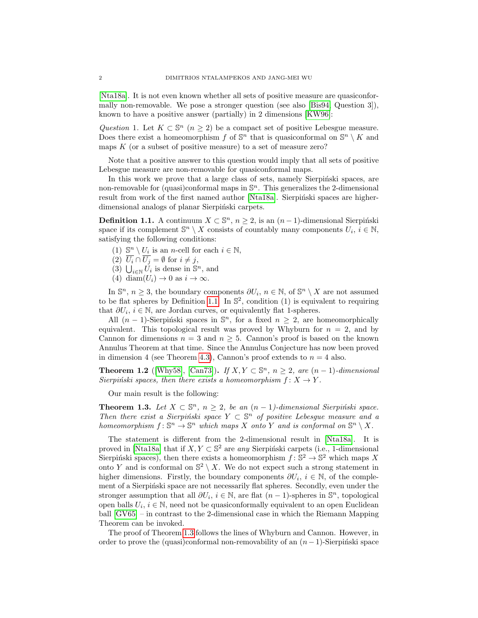[\[Nta18a\]](#page-8-0). It is not even known whether all sets of positive measure are quasiconformally non-removable. We pose a stronger question (see also [\[Bis94,](#page-8-7) Question 3]), known to have a positive answer (partially) in 2 dimensions [\[KW96\]](#page-8-8):

Question 1. Let  $K \subset \mathbb{S}^n$   $(n \geq 2)$  be a compact set of positive Lebesgue measure. Does there exist a homeomorphism f of  $\mathbb{S}^n$  that is quasiconformal on  $\mathbb{S}^n \setminus K$  and maps  $K$  (or a subset of positive measure) to a set of measure zero?

Note that a positive answer to this question would imply that all sets of positive Lebesgue measure are non-removable for quasiconformal maps.

In this work we prove that a large class of sets, namely Sierpinski spaces, are non-removable for (quasi)conformal maps in  $\mathbb{S}^n$ . This generalizes the 2-dimensional result from work of the first named author [\[Nta18a\]](#page-8-0). Sierpinski spaces are higherdimensional analogs of planar Sierpiński carpets.

<span id="page-1-0"></span>**Definition 1.1.** A continuum  $X \subset \mathbb{S}^n$ ,  $n \geq 2$ , is an  $(n-1)$ -dimensional Sierpiński space if its complement  $\mathbb{S}^n \setminus X$  consists of countably many components  $U_i, i \in \mathbb{N}$ , satisfying the following conditions:

- (1)  $\mathbb{S}^n \setminus U_i$  is an *n*-cell for each  $i \in \mathbb{N}$ ,
- (2)  $\overline{U_i} \cap \overline{U_j} = \emptyset$  for  $i \neq j$ ,
- (3)  $\bigcup_{i\in\mathbb{N}} U_i$  is dense in  $\mathbb{S}^n$ , and
- (4) diam $(U_i) \rightarrow 0$  as  $i \rightarrow \infty$ .

In  $\mathbb{S}^n$ ,  $n \geq 3$ , the boundary components  $\partial U_i$ ,  $n \in \mathbb{N}$ , of  $\mathbb{S}^n \setminus X$  are not assumed to be flat spheres by Definition [1.1.](#page-1-0) In  $\mathbb{S}^2$ , condition (1) is equivalent to requiring that  $\partial U_i$ ,  $i \in \mathbb{N}$ , are Jordan curves, or equivalently flat 1-spheres.

All  $(n-1)$ -Sierpiński spaces in  $\mathbb{S}^n$ , for a fixed  $n \geq 2$ , are homeomorphically equivalent. This topological result was proved by Whyburn for  $n = 2$ , and by Cannon for dimensions  $n = 3$  and  $n \ge 5$ . Cannon's proof is based on the known Annulus Theorem at that time. Since the Annulus Conjecture has now been proved in dimension 4 (see Theorem [4.3\)](#page-6-0), Cannon's proof extends to  $n = 4$  also.

**Theorem 1.2** ([\[Why58\]](#page-8-10), [\[Can73\]](#page-8-11)). If  $X, Y \subset \mathbb{S}^n$ ,  $n \geq 2$ , are  $(n-1)$ -dimensional Sierpiński spaces, then there exists a homeomorphism  $f: X \to Y$ .

Our main result is the following:

<span id="page-1-1"></span>**Theorem 1.3.** Let  $X \subset \mathbb{S}^n$ ,  $n \geq 2$ , be an  $(n-1)$ -dimensional Sierpiński space. Then there exist a Sierpiński space  $Y \subset \mathbb{S}^n$  of positive Lebesgue measure and a homeomorphism  $f: \mathbb{S}^n \to \mathbb{S}^n$  which maps X onto Y and is conformal on  $\mathbb{S}^n \setminus X$ .

The statement is different from the 2-dimensional result in [\[Nta18a\]](#page-8-0). It is proved in [\[Nta18a\]](#page-8-0) that if  $X, Y \subset \mathbb{S}^2$  are any Sierpinski carpets (i.e., 1-dimensional Sierpiński spaces), then there exists a homeomorphism  $f : \mathbb{S}^2 \to \mathbb{S}^2$  which maps X onto Y and is conformal on  $\mathbb{S}^2 \setminus X$ . We do not expect such a strong statement in higher dimensions. Firstly, the boundary components  $\partial U_i$ ,  $i \in \mathbb{N}$ , of the complement of a Sierpinski space are not necessarily flat spheres. Secondly, even under the stronger assumption that all  $\partial U_i$ ,  $i \in \mathbb{N}$ , are flat  $(n-1)$ -spheres in  $\mathbb{S}^n$ , topological open balls  $U_i, i \in \mathbb{N}$ , need not be quasiconformally equivalent to an open Euclidean ball [\[GV65\]](#page-8-12) – in contrast to the 2-dimensional case in which the Riemann Mapping Theorem can be invoked.

The proof of Theorem [1.3](#page-1-1) follows the lines of Whyburn and Cannon. However, in order to prove the (quasi)conformal non-removability of an  $(n-1)$ -Sierpiński space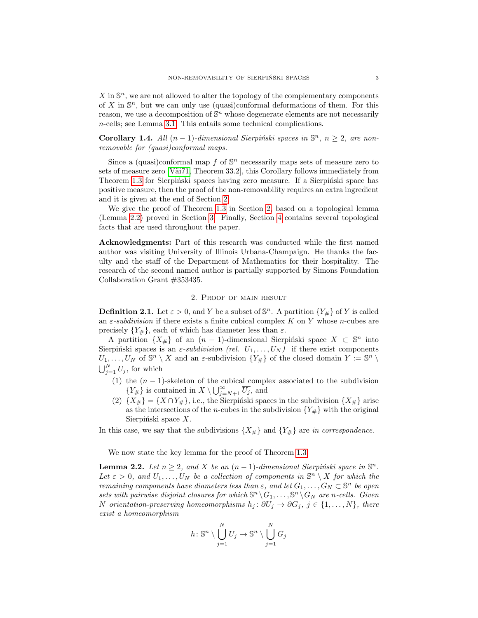$X$  in  $\mathbb{S}^n$ , we are not allowed to alter the topology of the complementary components of X in  $\mathbb{S}^n$ , but we can only use (quasi)conformal deformations of them. For this reason, we use a decomposition of  $\mathbb{S}^n$  whose degenerate elements are not necessarily n-cells; see Lemma [3.1.](#page-4-0) This entails some technical complications.

<span id="page-2-2"></span>Corollary 1.4. All  $(n-1)$ -dimensional Sierpiński spaces in  $\mathbb{S}^n$ ,  $n \geq 2$ , are nonremovable for (quasi)conformal maps.

Since a (quasi)conformal map  $f$  of  $\mathbb{S}^n$  necessarily maps sets of measure zero to sets of measure zero [Väi71, Theorem 33.2], this Corollary follows immediately from Theorem [1.3](#page-1-1) for Sierpiński spaces having zero measure. If a Sierpiński space has positive measure, then the proof of the non-removability requires an extra ingredient and it is given at the end of Section [2.](#page-2-0)

We give the proof of Theorem [1.3](#page-1-1) in Section [2,](#page-2-0) based on a topological lemma (Lemma [2.2\)](#page-2-1) proved in Section [3.](#page-4-1) Finally, Section [4](#page-5-0) contains several topological facts that are used throughout the paper.

Acknowledgments: Part of this research was conducted while the first named author was visiting University of Illinois Urbana-Champaign. He thanks the faculty and the staff of the Department of Mathematics for their hospitality. The research of the second named author is partially supported by Simons Foundation Collaboration Grant #353435.

#### 2. Proof of main result

<span id="page-2-0"></span>**Definition 2.1.** Let  $\varepsilon > 0$ , and Y be a subset of  $\mathbb{S}^n$ . A partition  $\{Y_\# \}$  of Y is called an  $\varepsilon$ -subdivision if there exists a finite cubical complex K on Y whose n-cubes are precisely  $\{Y_{\#}\}\$ , each of which has diameter less than  $\varepsilon$ .

A partition  $\{X_{\#}\}\$  of an  $(n-1)$ -dimensional Sierpiński space  $X \subset \mathbb{S}^n$  into Sierpinski spaces is an  $\varepsilon$ -subdivision (rel.  $U_1, \ldots, U_N$ ) if there exist components  $U_1, \ldots, U_N$  of  $\mathbb{S}^n \setminus X$  and an  $\varepsilon$ -subdivision  $\{Y_\# \}$  of the closed domain  $Y \coloneqq \mathbb{S}^n \setminus X$  $\bigcup_{j=1}^{N} U_j$ , for which

- (1) the  $(n 1)$ -skeleton of the cubical complex associated to the subdivision  ${Y_{\#}}$  is contained in  $X \setminus \bigcup_{j=N+1}^{\infty} \overline{U_j}$ , and
- (2)  $\{X_{\#}\} = \{X \cap Y_{\#}\}\$ , i.e., the Sierpinski spaces in the subdivision  $\{X_{\#}\}\$ arise as the intersections of the *n*-cubes in the subdivision  ${Y<sub>\#</sub>}$  with the original Sierpiński space  $X$ .

In this case, we say that the subdivisions  $\{X_{\#}\}\$ and  $\{Y_{\#}\}\$ are in correspondence.

We now state the key lemma for the proof of Theorem [1.3.](#page-1-1)

<span id="page-2-1"></span>**Lemma 2.2.** Let  $n \geq 2$ , and X be an  $(n-1)$ -dimensional Sierpinski space in  $\mathbb{S}^n$ . Let  $\varepsilon > 0$ , and  $U_1, \ldots, U_N$  be a collection of components in  $\mathbb{S}^n \setminus X$  for which the remaining components have diameters less than  $\varepsilon$ , and let  $G_1, \ldots, G_N \subset \mathbb{S}^n$  be open sets with pairwise disjoint closures for which  $\mathbb{S}^n \setminus G_1, \ldots, \mathbb{S}^n \setminus G_N$  are n-cells. Given N orientation-preserving homeomorphisms  $h_j: \partial U_j \to \partial G_j$ ,  $j \in \{1, ..., N\}$ , there exist a homeomorphism

$$
h\colon\mathbb{S}^n\setminus\bigcup_{j=1}^NU_j\to\mathbb{S}^n\setminus\bigcup_{j=1}^NG_j
$$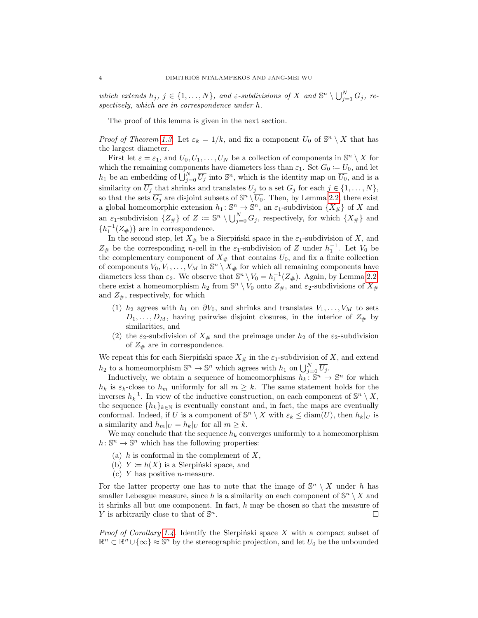which extends  $h_j, j \in \{1, ..., N\}$ , and  $\varepsilon$ -subdivisions of X and  $\mathbb{S}^n \setminus \bigcup_{j=1}^N G_j$ , respectively, which are in correspondence under h.

The proof of this lemma is given in the next section.

*Proof of Theorem [1.3.](#page-1-1)* Let  $\varepsilon_k = 1/k$ , and fix a component  $U_0$  of  $\mathbb{S}^n \setminus X$  that has the largest diameter.

First let  $\varepsilon = \varepsilon_1$ , and  $U_0, U_1, \ldots, U_N$  be a collection of components in  $\mathbb{S}^n \setminus X$  for which the remaining components have diameters less than  $\varepsilon_1$ . Set  $G_0 := U_0$ , and let  $h_1$  be an embedding of  $\bigcup_{j=0}^N \overline{U_j}$  into  $\mathbb{S}^n$ , which is the identity map on  $\overline{U_0}$ , and is a similarity on  $\overline{U_j}$  that shrinks and translates  $U_j$  to a set  $G_j$  for each  $j \in \{1, ..., N\}$ , so that the sets  $\overline{G_j}$  are disjoint subsets of  $\mathbb{S}^n \setminus \overline{U_0}$ . Then, by Lemma [2.2,](#page-2-1) there exist a global homeomorphic extension  $h_1: \mathbb{S}^n \to \mathbb{S}^n$ , an  $\varepsilon_1$ -subdivision  $\{X_\# \}$  of X and an  $\varepsilon_1$ -subdivision  $\{Z_{\#}\}\$  of  $Z := \mathbb{S}^n \setminus \bigcup_{j=0}^N G_j$ , respectively, for which  $\{X_{\#}\}\$  and  $\{h_1^{-1}(Z_{\#})\}$  are in correspondence.

In the second step, let  $X_{\#}$  be a Sierpiński space in the  $\varepsilon_1$ -subdivision of X, and  $Z_{\#}$  be the corresponding *n*-cell in the  $\varepsilon_1$ -subdivision of Z under  $h_1^{-1}$ . Let  $V_0$  be the complementary component of  $X_{\#}$  that contains  $U_0$ , and fix a finite collection of components  $V_0, V_1, \ldots, V_M$  in  $\mathbb{S}^n \setminus X_\#$  for which all remaining components have diameters less than  $\varepsilon_2$ . We observe that  $\mathbb{S}^n \setminus V_0 = h_1^{-1}(Z_{\#})$ . Again, by Lemma [2.2,](#page-2-1) there exist a homeomorphism  $h_2$  from  $\mathbb{S}^n \setminus V_0$  onto  $Z_{\#}$ , and  $\varepsilon_2$ -subdivisions of  $X_{\#}$ and  $Z_{\#}$ , respectively, for which

- (1)  $h_2$  agrees with  $h_1$  on  $\partial V_0$ , and shrinks and translates  $V_1, \ldots, V_M$  to sets  $D_1, \ldots, D_M$ , having pairwise disjoint closures, in the interior of  $Z_{\#}$  by similarities, and
- (2) the  $\varepsilon_2$ -subdivision of  $X_{\#}$  and the preimage under  $h_2$  of the  $\varepsilon_2$ -subdivision of  $Z_{\#}$  are in correspondence.

We repeat this for each Sierpiński space  $X_{\#}$  in the  $\varepsilon_1$ -subdivision of X, and extend  $h_2$  to a homeomorphism  $\mathbb{S}^n \to \mathbb{S}^n$  which agrees with  $h_1$  on  $\bigcup_{j=0}^N \overline{U_j}$ .

Inductively, we obtain a sequence of homeomorphisms  $h_k : \mathbb{S}^n \to \mathbb{S}^n$  for which  $h_k$  is  $\varepsilon_k$ -close to  $h_m$  uniformly for all  $m \geq k$ . The same statement holds for the inverses  $h_k^{-1}$ . In view of the inductive construction, on each component of  $\mathbb{S}^n \setminus X$ , the sequence  $\{h_k\}_{k\in\mathbb{N}}$  is eventually constant and, in fact, the maps are eventually conformal. Indeed, if U is a component of  $\mathbb{S}^n \setminus X$  with  $\varepsilon_k \leq \text{diam}(U)$ , then  $h_k|_U$  is a similarity and  $h_m|_U = h_k|_U$  for all  $m \geq k$ .

We may conclude that the sequence  $h_k$  converges uniformly to a homeomorphism  $h: \mathbb{S}^n \to \mathbb{S}^n$  which has the following properties:

- (a)  $h$  is conformal in the complement of  $X$ ,
- (b)  $Y := h(X)$  is a Sierpinski space, and
- (c)  $Y$  has positive *n*-measure.

For the latter property one has to note that the image of  $\mathbb{S}^n \setminus X$  under h has smaller Lebesgue measure, since h is a similarity on each component of  $\mathbb{S}^n \setminus X$  and it shrinks all but one component. In fact,  $h$  may be chosen so that the measure of Y is arbitrarily close to that of  $\mathbb{S}^n$ .  $\overline{\phantom{a}}$ .

*Proof of Corollary [1.4.](#page-2-2)* Identify the Sierpinski space X with a compact subset of  $\mathbb{R}^n \subset \mathbb{R}^n \cup \{\infty\} \approx \mathbb{S}^n$  by the stereographic projection, and let  $U_0$  be the unbounded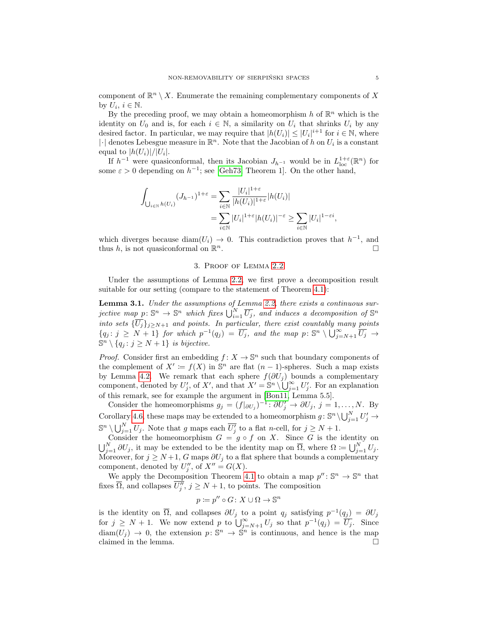component of  $\mathbb{R}^n \setminus X$ . Enumerate the remaining complementary components of X by  $U_i, i \in \mathbb{N}$ .

By the preceding proof, we may obtain a homeomorphism h of  $\mathbb{R}^n$  which is the identity on  $U_0$  and is, for each  $i \in \mathbb{N}$ , a similarity on  $U_i$  that shrinks  $U_i$  by any desired factor. In particular, we may require that  $|h(U_i)| \leq |U_i|^{i+1}$  for  $i \in \mathbb{N}$ , where | $\cdot$ | denotes Lebesgue measure in  $\mathbb{R}^n$ . Note that the Jacobian of h on  $U_i$  is a constant equal to  $|h(U_i)|/|U_i|$ .

If  $h^{-1}$  were quasiconformal, then its Jacobian  $J_{h^{-1}}$  would be in  $L^{1+\varepsilon}_{loc}(\mathbb{R}^n)$  for some  $\varepsilon > 0$  depending on  $h^{-1}$ ; see [\[Geh73,](#page-8-13) Theorem 1]. On the other hand,

$$
\int_{\bigcup_{i \in \mathbb{N}} h(U_i)} (J_{h^{-1}})^{1+\varepsilon} = \sum_{i \in \mathbb{N}} \frac{|U_i|^{1+\varepsilon}}{|h(U_i)|^{1+\varepsilon}} |h(U_i)|
$$
  
= 
$$
\sum_{i \in \mathbb{N}} |U_i|^{1+\varepsilon} |h(U_i)|^{-\varepsilon} \ge \sum_{i \in \mathbb{N}} |U_i|^{1-\varepsilon i}
$$

which diverges because diam $(U_i) \rightarrow 0$ . This contradiction proves that  $h^{-1}$ , and thus h, is not quasiconformal on  $\mathbb{R}^n$ .  $n$ .

## 3. Proof of Lemma [2.2](#page-2-1)

<span id="page-4-1"></span>Under the assumptions of Lemma [2.2,](#page-2-1) we first prove a decomposition result suitable for our setting (compare to the statement of Theorem [4.1\)](#page-5-1):

<span id="page-4-0"></span>Lemma 3.1. Under the assumptions of Lemma [2.2,](#page-2-1) there exists a continuous surjective map  $p \colon \mathbb{S}^n \to \mathbb{S}^n$  which fixes  $\bigcup_{i=1}^N \overline{U_j}$ , and induces a decomposition of  $\mathbb{S}^n$ into sets  $\{\overline{U_j}\}_{j\geq N+1}$  and points. In particular, there exist countably many points  ${q_j : j \geq N+1}$  for which  $p^{-1}(q_j) = \overline{U_j}$ , and the map  $p: \mathbb{S}^n \setminus \bigcup_{j=N+1}^{\infty} \overline{U_j} \to$  $\mathbb{S}^n \setminus \{q_j : j \geq N+1\}$  is bijective.

*Proof.* Consider first an embedding  $f: X \to \mathbb{S}^n$  such that boundary components of the complement of  $X' := f(X)$  in  $\mathbb{S}^n$  are flat  $(n-1)$ -spheres. Such a map exists by Lemma [4.2.](#page-6-1) We remark that each sphere  $f(\partial U_j)$  bounds a complementary component, denoted by  $U'_j$ , of X', and that  $X' = \mathbb{S}^n \setminus \bigcup_{j=1}^{\infty} U'_j$ . For an explanation of this remark, see for example the argument in [\[Bon11,](#page-8-14) Lemma 5.5].

Consider the homeomorphisms  $g_j = (f|_{\partial U_j})^{-1}$ :  $\partial U'_j \to \partial U_j$ ,  $j = 1, ..., N$ . By Corollary [4.6,](#page-7-0) these maps may be extended to a homeomorphism  $g: \mathbb{S}^n \setminus \bigcup_{j=1}^N U'_j \to$  $\mathbb{S}^n \setminus \bigcup_{j=1}^N U_j$ . Note that g maps each  $\overline{U'_j}$  to a flat n-cell, for  $j \geq N+1$ .

Consider the homeomorphism  $G = g \circ f$  on X. Since G is the identity on  $\bigcup_{j=1}^N \partial U_j$ , it may be extended to be the identity map on  $\overline{\Omega}$ , where  $\Omega \coloneqq \bigcup_{j=1}^N U_j$ . Moreover, for  $j \geq N+1$ , G maps  $\partial U_j$  to a flat sphere that bounds a complementary component, denoted by  $U''_j$ , of  $X'' = G(X)$ .

We apply the Decomposition Theorem [4.1](#page-5-1) to obtain a map  $p'' : \mathbb{S}^n \to \mathbb{S}^n$  that fixes  $\overline{\Omega}$ , and collapses  $\overline{U''_j}$ ,  $j \ge N+1$ , to points. The composition

$$
p \coloneqq p'' \circ G \colon X \cup \Omega \to \mathbb{S}^n
$$

is the identity on  $\overline{\Omega}$ , and collapses  $\partial U_j$  to a point  $q_j$  satisfying  $p^{-1}(q_j) = \partial U_j$ for  $j \geq N+1$ . We now extend p to  $\bigcup_{j=N+1}^{\infty} U_j$  so that  $p^{-1}(q_j) = \overline{U_j}$ . Since  $\text{diam}(U_j) \to 0$ , the extension  $p: \mathbb{S}^n \to \mathbb{S}^n$  is continuous, and hence is the map claimed in the lemma.  $\Box$ 

,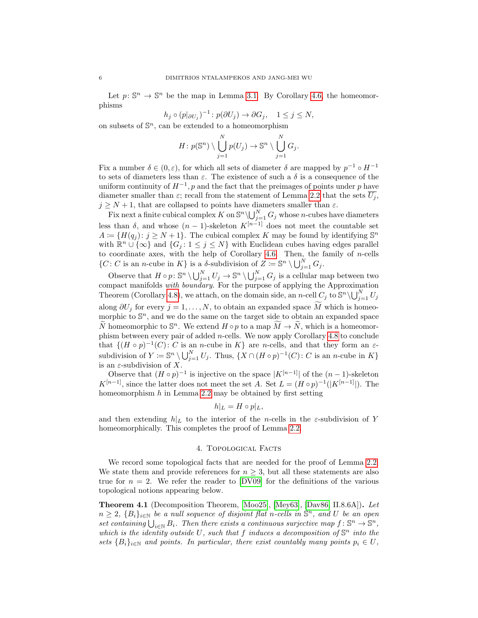Let  $p: \mathbb{S}^n \to \mathbb{S}^n$  be the map in Lemma [3.1.](#page-4-0) By Corollary [4.6,](#page-7-0) the homeomorphisms

 $h_j \circ (p|_{\partial U_j})^{-1} : p(\partial U_j) \to \partial G_j, \quad 1 \le j \le N,$ 

on subsets of  $\mathbb{S}^n$ , can be extended to a homeomorphism

$$
H: p(\mathbb{S}^n) \setminus \bigcup_{j=1}^N p(U_j) \to \mathbb{S}^n \setminus \bigcup_{j=1}^N G_j.
$$

Fix a number  $\delta \in (0, \varepsilon)$ , for which all sets of diameter  $\delta$  are mapped by  $p^{-1} \circ H^{-1}$ to sets of diameters less than  $\varepsilon$ . The existence of such a  $\delta$  is a consequence of the uniform continuity of  $H^{-1}$ , p and the fact that the preimages of points under p have diameter smaller than  $\varepsilon$ ; recall from the statement of Lemma [2.2](#page-2-1) that the sets  $U_j$ ,  $j \geq N+1$ , that are collapsed to points have diameters smaller than  $\varepsilon$ .

Fix next a finite cubical complex K on  $\mathbb{S}^n \setminus \bigcup_{j=1}^N G_j$  whose n-cubes have diameters less than  $\delta$ , and whose  $(n-1)$ -skeleton  $K^{[n-1]}$  does not meet the countable set  $A \coloneqq \{H(q_j) : j \geq N+1\}.$  The cubical complex K may be found by identifying  $\mathbb{S}^n$ with  $\mathbb{R}^n \cup \{\infty\}$  and  $\{G_j : 1 \leq j \leq N\}$  with Euclidean cubes having edges parallel to coordinate axes, with the help of Corollary [4.6.](#page-7-0) Then, the family of  $n$ -cells  $\{C: C \text{ is an } n\text{-cube in } K\}$  is a  $\delta$ -subdivision of  $Z \coloneqq \mathbb{S}^n \setminus \bigcup_{j=1}^N G_j$ .

Observe that  $H \circ p: \mathbb{S}^n \setminus \bigcup_{j=1}^N U_j \to \mathbb{S}^n \setminus \bigcup_{j=1}^N G_j$  is a cellular map between two compact manifolds with boundary. For the purpose of applying the Approximation Theorem (Corollary [4.8\)](#page-7-1), we attach, on the domain side, an *n*-cell  $C_j$  to  $\mathbb{S}^n \setminus \bigcup_{j=1}^N U_j$ along  $\partial U_j$  for every  $j = 1, ..., N$ , to obtain an expanded space M which is homeomorphic to  $\mathbb{S}^n$ , and we do the same on the target side to obtain an expanded space  $\widetilde{N}$  homeomorphic to  $\mathbb{S}^n$ . We extend  $H \circ p$  to a map  $\widetilde{M} \to \widetilde{N}$ , which is a homeomorphic phism between every pair of added n-cells. We now apply Corollary [4.8](#page-7-1) to conclude that  $\{(H \circ p)^{-1}(C): C$  is an *n*-cube in K are *n*-cells, and that they form an  $\varepsilon$ subdivision of  $Y \coloneqq \mathbb{S}^n \setminus \bigcup_{j=1}^N U_j$ . Thus,  $\{X \cap (H \circ p)^{-1}(C) : C$  is an *n*-cube in K $\}$ is an  $\varepsilon$ -subdivision of X.

Observe that  $(H \circ p)^{-1}$  is injective on the space  $|K^{[n-1]}|$  of the  $(n-1)$ -skeleton  $K^{[n-1]}$ , since the latter does not meet the set A. Set  $L = (H \circ p)^{-1}(|K^{[n-1]}|)$ . The homeomorphism  $h$  in Lemma [2.2](#page-2-1) may be obtained by first setting

$$
h|_L = H \circ p|_L,
$$

and then extending  $h|_L$  to the interior of the n-cells in the  $\varepsilon$ -subdivision of Y homeomorphically. This completes the proof of Lemma [2.2.](#page-2-1)

#### 4. Topological Facts

<span id="page-5-0"></span>We record some topological facts that are needed for the proof of Lemma [2.2.](#page-2-1) We state them and provide references for  $n \geq 3$ , but all these statements are also true for  $n = 2$ . We refer the reader to [\[DV09\]](#page-8-15) for the definitions of the various topological notions appearing below.

<span id="page-5-1"></span>Theorem 4.1 (Decomposition Theorem, [\[Moo25\]](#page-8-16), [\[Mey63\]](#page-8-17), [\[Dav86,](#page-8-18) II.8.6A]). Let  $n \geq 2$ ,  $\{B_i\}_{i\in\mathbb{N}}$  be a null sequence of disjoint flat n-cells in  $\mathbb{S}^n$ , and U be an open set containing  $\bigcup_{i\in\mathbb{N}} B_i$ . Then there exists a continuous surjective map  $f: \mathbb{S}^n \to \mathbb{S}^n$ , which is the identity outside U, such that f induces a decomposition of  $\mathbb{S}^n$  into the sets  ${B_i}_{i \in \mathbb{N}}$  and points. In particular, there exist countably many points  $p_i \in U$ ,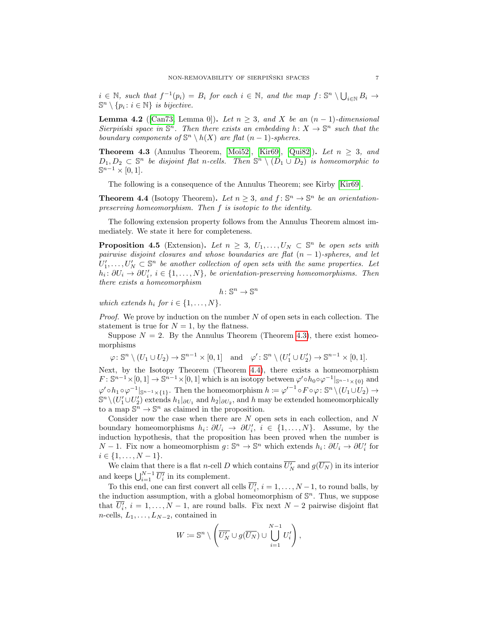$i \in \mathbb{N}$ , such that  $f^{-1}(p_i) = B_i$  for each  $i \in \mathbb{N}$ , and the map  $f : \mathbb{S}^n \setminus \bigcup_{i \in \mathbb{N}} B_i \to$  $\mathbb{S}^n \setminus \{p_i : i \in \mathbb{N}\}\$ is bijective.

<span id="page-6-1"></span>**Lemma 4.2** ([\[Can73,](#page-8-11) Lemma 0]). Let  $n \geq 3$ , and X be an  $(n-1)$ -dimensional Sierpiński space in  $\mathbb{S}^n$ . Then there exists an embedding  $h: X \to \mathbb{S}^n$  such that the boundary components of  $\mathbb{S}^n \setminus h(X)$  are flat  $(n-1)$ -spheres.

<span id="page-6-0"></span>**Theorem 4.3** (Annulus Theorem, [\[Moi52\]](#page-8-19), [\[Kir69\]](#page-8-20), [\[Qui82\]](#page-8-21)). Let  $n \geq 3$ , and  $D_1, D_2 \subset \mathbb{S}^n$  be disjoint flat n-cells. Then  $\mathbb{S}^n \setminus (D_1 \cup D_2)$  is homeomorphic to  $\mathbb{S}^{n-1}\times[0,1].$ 

The following is a consequence of the Annulus Theorem; see Kirby [\[Kir69\]](#page-8-20).

<span id="page-6-2"></span>**Theorem 4.4** (Isotopy Theorem). Let  $n \geq 3$ , and  $f: \mathbb{S}^n \to \mathbb{S}^n$  be an orientationpreserving homeomorphism. Then f is isotopic to the identity.

The following extension property follows from the Annulus Theorem almost immediately. We state it here for completeness.

<span id="page-6-3"></span>**Proposition 4.5** (Extension). Let  $n \geq 3$ ,  $U_1, \ldots, U_N \subset \mathbb{S}^n$  be open sets with pairwise disjoint closures and whose boundaries are flat  $(n - 1)$ -spheres, and let  $U'_1, \ldots, U'_N \subset \mathbb{S}^n$  be another collection of open sets with the same properties. Let  $h_i: \partial U_i \to \partial U'_i$ ,  $i \in \{1, \ldots, N\}$ , be orientation-preserving homeomorphisms. Then there exists a homeomorphism

$$
h\colon\mathbb{S}^n\to\mathbb{S}^n
$$

which extends  $h_i$  for  $i \in \{1, \ldots, N\}$ .

*Proof.* We prove by induction on the number  $N$  of open sets in each collection. The statement is true for  $N = 1$ , by the flatness.

Suppose  $N = 2$ . By the Annulus Theorem (Theorem [4.3\)](#page-6-0), there exist homeomorphisms

 $\varphi \colon \mathbb{S}^n \setminus (U_1 \cup U_2) \to \mathbb{S}^{n-1} \times [0,1] \text{ and } \varphi' \colon \mathbb{S}^n \setminus (U'_1 \cup U'_2) \to \mathbb{S}^{n-1} \times [0,1].$ 

Next, by the Isotopy Theorem (Theorem [4.4\)](#page-6-2), there exists a homeomorphism  $F: \mathbb{S}^{n-1}\times[0,1]\to\mathbb{S}^{n-1}\times[0,1]$  which is an isotopy between  $\varphi' \circ h_0 \circ \varphi^{-1}|_{\mathbb{S}^{n-1}\times\{0\}}$  and  $\varphi' \circ h_1 \circ \varphi^{-1}|_{\mathbb{S}^{n-1} \times \{1\}}$ . Then the homeomorphism  $h \coloneqq \varphi'^{-1} \circ F \circ \varphi \colon \mathbb{S}^n \setminus (U_1 \cup U_2) \to$  $\mathbb{S}^n \setminus (U'_1 \cup U'_2)$  extends  $h_1|_{\partial U_1}$  and  $h_2|_{\partial U_2}$ , and h may be extended homeomorphically to a map  $\mathbb{S}^n \to \mathbb{S}^n$  as claimed in the proposition.

Consider now the case when there are  $N$  open sets in each collection, and  $N$ boundary homeomorphisms  $h_i: \partial U_i \to \partial U'_i$ ,  $i \in \{1, ..., N\}$ . Assume, by the induction hypothesis, that the proposition has been proved when the number is  $N-1$ . Fix now a homeomorphism  $g: \mathbb{S}^n \to \mathbb{S}^n$  which extends  $h_i: \partial U_i \to \partial U'_i$  for  $i \in \{1, \ldots, N-1\}.$ 

We claim that there is a flat *n*-cell D which contains  $\overline{U'_N}$  and  $g(\overline{U_N})$  in its interior and keeps  $\bigcup_{i=1}^{N-1} \overline{U'_i}$  in its complement.

To this end, one can first convert all cells  $\overline{U'_i}$ ,  $i = 1, ..., N-1$ , to round balls, by the induction assumption, with a global homeomorphism of  $\mathbb{S}^n$ . Thus, we suppose that  $\overline{U'_i}$ ,  $i = 1, ..., N - 1$ , are round balls. Fix next  $N - 2$  pairwise disjoint flat  $n$ -cells,  $L_1, \ldots, L_{N-2}$ , contained in

$$
W := \mathbb{S}^n \setminus \left( \overline{U'_N} \cup g(\overline{U_N}) \cup \bigcup_{i=1}^{N-1} U'_i \right),
$$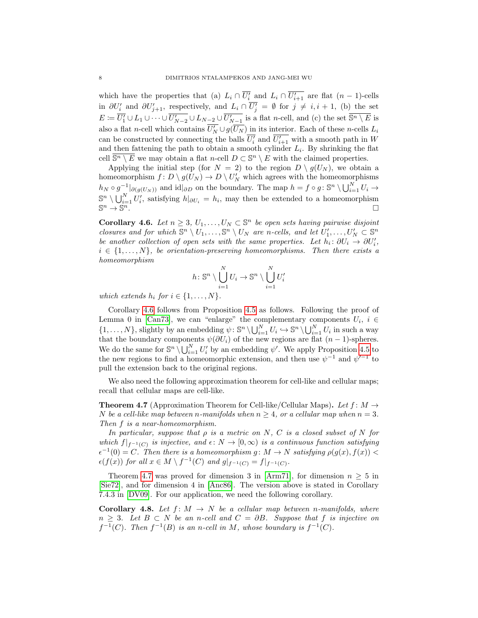which have the properties that (a)  $L_i \cap \overline{U'_i}$  and  $L_i \cap \overline{U'_{i+1}}$  are flat  $(n-1)$ -cells in  $\partial U_i'$  and  $\partial U_{j+1}'$ , respectively, and  $L_i \cap \overline{U_j'} = \emptyset$  for  $j \neq i, i + 1$ , (b) the set  $E \coloneqq \overline{U'_1} \cup L_1 \cup \cdots \cup \overline{U'_{N-2}} \cup L_{N-2} \cup \overline{U'_{N-1}}$  is a flat *n*-cell, and (c) the set  $\overline{\mathbb{S}^n \setminus E}$  is also a flat *n*-cell which contains  $\overline{U'_N} \cup g(\overline{U_N})$  in its interior. Each of these *n*-cells  $L_i$ can be constructed by connecting the balls  $\overline{U_i'}$  and  $\overline{U_{i+1}'}$  with a smooth path in W and then fattening the path to obtain a smooth cylinder  $L_i$ . By shrinking the flat cell  $\overline{\mathbb{S}^n \setminus E}$  we may obtain a flat n-cell  $D \subset \mathbb{S}^n \setminus E$  with the claimed properties.

Applying the initial step (for  $N = 2$ ) to the region  $D \setminus g(U_N)$ , we obtain a homeomorphism  $f: D \setminus g(U_N) \to D \setminus U'_N$  which agrees with the homeomorphisms  $h_N \circ g^{-1}|_{\partial(g(U_N))}$  and  $\mathrm{id}|_{\partial D}$  on the boundary. The map  $h = f \circ g : \mathbb{S}^n \setminus \bigcup_{i=1}^N U_i \to$  $\mathbb{S}^n \setminus \bigcup_{i=1}^N U_i'$ , satisfying  $h|_{\partial U_i} = h_i$ , may then be extended to a homeomorphism  $\mathbb{S}^n \to \mathbb{S}$  $\overline{n}$ .

<span id="page-7-0"></span>**Corollary 4.6.** Let  $n \geq 3$ ,  $U_1, \ldots, U_N \subset \mathbb{S}^n$  be open sets having pairwise disjoint closures and for which  $\mathbb{S}^n \setminus U_1, \ldots, \mathbb{S}^n \setminus U_N$  are n-cells, and let  $U'_1, \ldots, U'_N \subset \mathbb{S}^n$ be another collection of open sets with the same properties. Let  $h_i: \partial U_i \to \partial U'_i$ ,  $i \in \{1, \ldots, N\}$ , be orientation-preserving homeomorphisms. Then there exists a homeomorphism

$$
h\colon\mathbb{S}^n\setminus\bigcup_{i=1}^N U_i\to\mathbb{S}^n\setminus\bigcup_{i=1}^N U_i'
$$

which extends  $h_i$  for  $i \in \{1, \ldots, N\}$ .

Corollary [4.6](#page-7-0) follows from Proposition [4.5](#page-6-3) as follows. Following the proof of Lemma 0 in [\[Can73\]](#page-8-11), we can "enlarge" the complementary components  $U_i$ ,  $i \in$  $\{1,\ldots,N\}$ , slightly by an embedding  $\psi: \mathbb{S}^n \setminus \bigcup_{i=1}^N U_i \hookrightarrow \mathbb{S}^n \setminus \bigcup_{i=1}^N U_i$  in such a way that the boundary components  $\psi(\partial U_i)$  of the new regions are flat  $(n-1)$ -spheres. We do the same for  $\mathbb{S}^n \setminus \bigcup_{i=1}^N U_i'$  by an embedding  $\psi'$ . We apply Proposition [4.5](#page-6-3) to the new regions to find a homeomorphic extension, and then use  $\psi^{-1}$  and  $\psi'^{-1}$  to pull the extension back to the original regions.

We also need the following approximation theorem for cell-like and cellular maps; recall that cellular maps are cell-like.

<span id="page-7-2"></span>**Theorem 4.7** (Approximation Theorem for Cell-like/Cellular Maps). Let  $f: M \rightarrow$ N be a cell-like map between n-manifolds when  $n \geq 4$ , or a cellular map when  $n = 3$ . Then f is a near-homeomorphism.

In particular, suppose that  $\rho$  is a metric on N, C is a closed subset of N for which  $f|_{f^{-1}(C)}$  is injective, and  $\epsilon: N \to [0,\infty)$  is a continuous function satisfying  $\epsilon^{-1}(0) = C$ . Then there is a homeomorphism g:  $M \to N$  satisfying  $\rho(g(x), f(x))$  $\epsilon(f(x))$  for all  $x \in M \setminus f^{-1}(C)$  and  $g|_{f^{-1}(C)} = f|_{f^{-1}(C)}$ .

Theorem [4.7](#page-7-2) was proved for dimension 3 in [\[Arm71\]](#page-8-22), for dimension  $n \geq 5$  in [\[Sie72\]](#page-8-23), and for dimension 4 in [\[Anc86\]](#page-8-24). The version above is stated in Corollary 7.4.3 in [\[DV09\]](#page-8-15). For our application, we need the following corollary.

<span id="page-7-1"></span>**Corollary 4.8.** Let  $f: M \to N$  be a cellular map between n-manifolds, where  $n \geq 3$ . Let  $B \subset N$  be an n-cell and  $C = \partial B$ . Suppose that f is injective on  $f^{-1}(C)$ . Then  $f^{-1}(B)$  is an n-cell in M, whose boundary is  $f^{-1}(C)$ .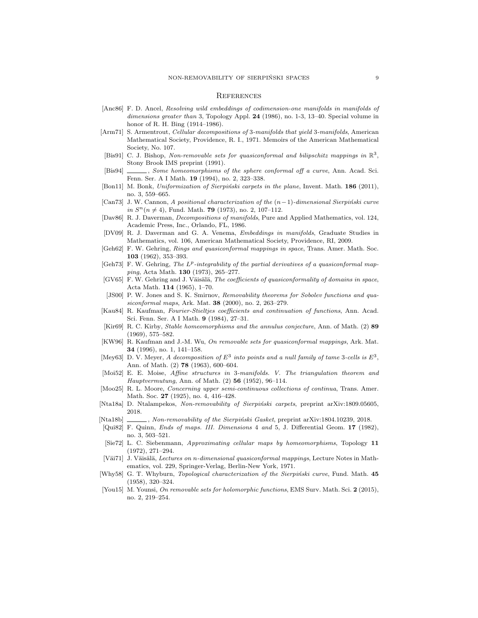#### **REFERENCES**

- <span id="page-8-24"></span>[Anc86] F. D. Ancel, Resolving wild embeddings of codimension-one manifolds in manifolds of dimensions greater than 3, Topology Appl. 24 (1986), no. 1-3, 13-40. Special volume in honor of R. H. Bing (1914–1986).
- <span id="page-8-22"></span>[Arm71] S. Armentrout, *Cellular decompositions of 3-manifolds that yield 3-manifolds*, American Mathematical Society, Providence, R. I., 1971. Memoirs of the American Mathematical Society, No. 107.
- <span id="page-8-6"></span>[Bis91] C. J. Bishop, Non-removable sets for quasiconformal and bilipschitz mappings in  $\mathbb{R}^3$ , Stony Brook IMS preprint (1991).
- <span id="page-8-7"></span>[Bis94] , Some homeomorphisms of the sphere conformal off a curve, Ann. Acad. Sci. Fenn. Ser. A I Math. 19 (1994), no. 2, 323–338.
- <span id="page-8-14"></span>[Bon11] M. Bonk, Uniformization of Sierpiński carpets in the plane, Invent. Math. 186 (2011), no. 3, 559–665.
- <span id="page-8-11"></span>[Can73] J. W. Cannon, A positional characterization of the  $(n-1)$ -dimensional Sierpiński curve in  $S<sup>n</sup>(n \neq 4)$ , Fund. Math. **79** (1973), no. 2, 107-112.
- <span id="page-8-18"></span>[Dav86] R. J. Daverman, Decompositions of manifolds, Pure and Applied Mathematics, vol. 124, Academic Press, Inc., Orlando, FL, 1986.
- <span id="page-8-15"></span>[DV09] R. J. Daverman and G. A. Venema, Embeddings in manifolds, Graduate Studies in Mathematics, vol. 106, American Mathematical Society, Providence, RI, 2009.
- <span id="page-8-2"></span>[Geh62] F. W. Gehring, Rings and quasiconformal mappings in space, Trans. Amer. Math. Soc. 103 (1962), 353–393.
- <span id="page-8-13"></span>[Geh73] F. W. Gehring, The  $L^p$ -integrability of the partial derivatives of a quasiconformal mapping, Acta Math. 130 (1973), 265–277.
- <span id="page-8-12"></span>[GV65] F. W. Gehring and J. Väisälä, The coefficients of quasiconformality of domains in space, Acta Math. 114 (1965), 1–70.
- <span id="page-8-5"></span>[JS00] P. W. Jones and S. K. Smirnov, Removability theorems for Sobolev functions and quasiconformal maps, Ark. Mat. 38 (2000), no. 2, 263–279.
- <span id="page-8-9"></span>[Kau84] R. Kaufman, Fourier-Stieltjes coefficients and continuation of functions, Ann. Acad. Sci. Fenn. Ser. A I Math. 9 (1984), 27–31.
- <span id="page-8-20"></span>[Kir69] R. C. Kirby, Stable homeomorphisms and the annulus conjecture, Ann. of Math. (2) 89 (1969), 575–582.
- <span id="page-8-8"></span>[KW96] R. Kaufman and J.-M. Wu, On removable sets for quasiconformal mappings, Ark. Mat. 34 (1996), no. 1, 141–158.
- <span id="page-8-17"></span>[Mey63] D. V. Meyer, A decomposition of  $E^3$  into points and a null family of tame 3-cells is  $E^3$ , Ann. of Math. (2) 78 (1963), 600–604.
- <span id="page-8-19"></span>[Moi52] E. E. Moise, Affine structures in 3-manifolds. V. The triangulation theorem and Hauptvermutung, Ann. of Math. (2) 56 (1952), 96–114.
- <span id="page-8-16"></span>[Moo25] R. L. Moore, Concerning upper semi-continuous collections of continua, Trans. Amer. Math. Soc. **27** (1925), no. 4, 416-428.
- <span id="page-8-0"></span>[Nta18a] D. Ntalampekos, Non-removability of Sierpiński carpets, preprint arXiv:1809.05605, 2018.
- <span id="page-8-3"></span>[Nta18b] , Non-removability of the Sierpiński Gasket, preprint arXiv:1804.10239, 2018.
- <span id="page-8-21"></span>[Qui82] F. Quinn, Ends of maps. III. Dimensions 4 and 5, J. Differential Geom. 17 (1982), no. 3, 503–521.
- <span id="page-8-23"></span>[Sie72] L. C. Siebenmann, Approximating cellular maps by homeomorphisms, Topology 11 (1972), 271–294.
- <span id="page-8-4"></span>[Väi71] J. Väisälä, Lectures on n-dimensional quasiconformal mappings, Lecture Notes in Mathematics, vol. 229, Springer-Verlag, Berlin-New York, 1971.
- <span id="page-8-10"></span>[Why58] G. T. Whyburn, *Topological characterization of the Sierpiński curve*, Fund. Math. 45 (1958), 320–324.
- <span id="page-8-1"></span>[You15] M. Younsi, On removable sets for holomorphic functions, EMS Surv. Math. Sci. 2 (2015), no. 2, 219–254.